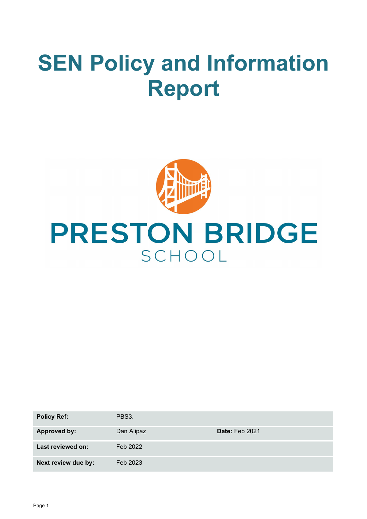# **SEN Policy and Information Report**



# **PRESTON BRIDGE** SCHOOL

| <b>Policy Ref:</b>  | PBS3.      |                       |
|---------------------|------------|-----------------------|
| <b>Approved by:</b> | Dan Alipaz | <b>Date: Feb 2021</b> |
| Last reviewed on:   | Feb 2022   |                       |
| Next review due by: | Feb 2023   |                       |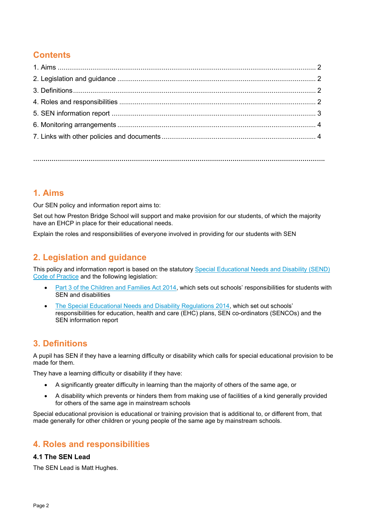# **Contents**

**…………………………………………………………………………………………………………………………….**

## **1. Aims**

Our SEN policy and information report aims to:

Set out how Preston Bridge School will support and make provision for our students, of which the majority have an EHCP in place for their educational needs.

Explain the roles and responsibilities of everyone involved in providing for our students with SEN

## **2. Legislation and guidance**

This policy and information report is based on the statutory [Special Educational Needs and Disability \(SEND\)](https://www.gov.uk/government/uploads/system/uploads/attachment_data/file/398815/SEND_Code_of_Practice_January_2015.pdf)  [Code of Practice](https://www.gov.uk/government/uploads/system/uploads/attachment_data/file/398815/SEND_Code_of_Practice_January_2015.pdf) and the following legislation:

- [Part 3 of the Children and Families Act 2014,](http://www.legislation.gov.uk/ukpga/2014/6/part/3) which sets out schools' responsibilities for students with SEN and disabilities
- [The Special Educational Needs and Disability Regulations 2014,](http://www.legislation.gov.uk/uksi/2014/1530/contents/made) which set out schools' responsibilities for education, health and care (EHC) plans, SEN co-ordinators (SENCOs) and the SEN information report

## **3. Definitions**

A pupil has SEN if they have a learning difficulty or disability which calls for special educational provision to be made for them.

They have a learning difficulty or disability if they have:

- A significantly greater difficulty in learning than the majority of others of the same age, or
- A disability which prevents or hinders them from making use of facilities of a kind generally provided for others of the same age in mainstream schools

Special educational provision is educational or training provision that is additional to, or different from, that made generally for other children or young people of the same age by mainstream schools.

## **4. Roles and responsibilities**

#### **4.1 The SEN Lead**

The SEN Lead is Matt Hughes.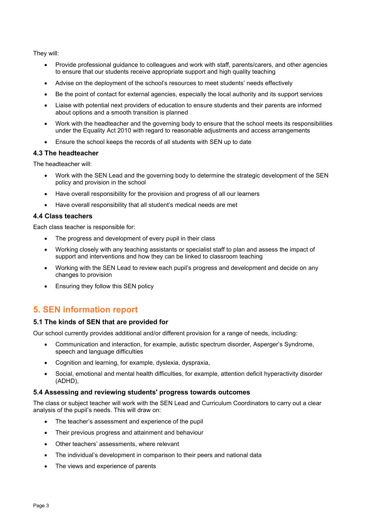They will:

- Provide professional guidance to colleagues and work with staff, parents/carers, and other agencies to ensure that our students receive appropriate support and high quality teaching
- Advise on the deployment of the school's resources to meet students' needs effectively
- Be the point of contact for external agencies, especially the local authority and its support services
- Liaise with potential next providers of education to ensure students and their parents are informed about options and a smooth transition is planned
- Work with the headteacher and the governing body to ensure that the school meets its responsibilities under the Equality Act 2010 with regard to reasonable adjustments and access arrangements
- Ensure the school keeps the records of all students with SEN up to date

#### **4.3 The headteacher**

The headteacher will:

- Work with the SEN Lead and the governing body to determine the strategic development of the SEN policy and provision in the school
- Have overall responsibility for the provision and progress of all our learners
- Have overall responsibility that all student's medical needs are met

#### **4.4 Class teachers**

Each class teacher is responsible for:

- The progress and development of every pupil in their class
- Working closely with any teaching assistants or specialist staff to plan and assess the impact of support and interventions and how they can be linked to classroom teaching
- Working with the SEN Lead to review each pupil's progress and development and decide on any changes to provision
- Ensuring they follow this SEN policy

## **5. SEN information report**

#### **5.1 The kinds of SEN that are provided for**

Our school currently provides additional and/or different provision for a range of needs, including:

- Communication and interaction, for example, autistic spectrum disorder, Asperger's Syndrome, speech and language difficulties
- Cognition and learning, for example, dyslexia, dyspraxia,
- Social, emotional and mental health difficulties, for example, attention deficit hyperactivity disorder (ADHD),

#### **5.4 Assessing and reviewing students' progress towards outcomes**

The class or subject teacher will work with the SEN Lead and Curriculum Coordinators to carry out a clear analysis of the pupil's needs. This will draw on:

- The teacher's assessment and experience of the pupil
- Their previous progress and attainment and behaviour
- Other teachers' assessments, where relevant
- The individual's development in comparison to their peers and national data
- The views and experience of parents